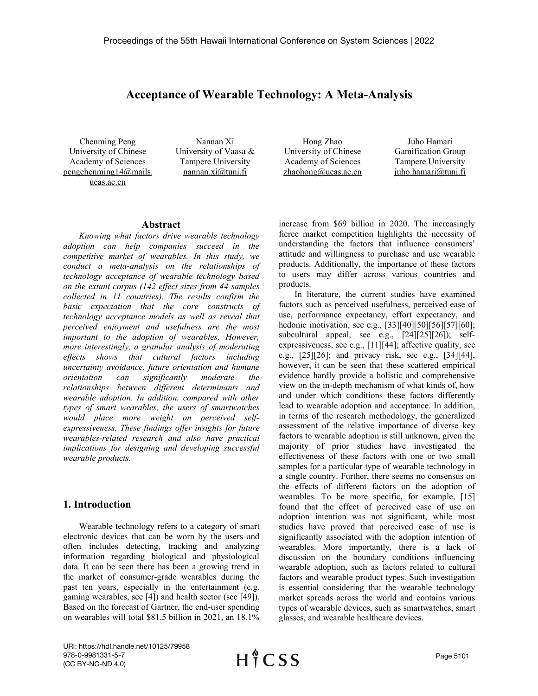# **Acceptance of Wearable Technology: A Meta-Analysis**

Chenming Peng University of Chinese Academy of Sciences pengchenming14@mails. ucas.ac.cn

Nannan Xi University of Vaasa & Tampere University nannan.xi@tuni.fi

Hong Zhao University of Chinese Academy of Sciences [zhaohong@ucas.ac.cn](mailto:zhaohong@ucas.ac.cn)

Juho Hamari Gamification Group Tampere University juho.hamari@tuni.fi

#### **Abstract**

*Knowing what factors drive wearable technology adoption can help companies succeed in the competitive market of wearables. In this study, we conduct a meta-analysis on the relationships of technology acceptance of wearable technology based on the extant corpus (142 ef ect sizes from 44 samples collected in 11 countries). The results confirm the basic expectation that the core constructs of technology acceptance models as wellas reveal that perceived enjoyment and usefulness are the most important to the adoption of wearables. However, more interestingly, a granular analysis of moderating ef ects shows that cultural factors including uncertainty avoidance, future orientation and humane orientation can significantly moderate the relationships between dif erent determinants and wearable adoption. In addition, compared with other types of smart wearables, the users of smartwatches would place more weight on perceived self expressiveness. These findings of er insights for future wearables-related research and also have practical implications for designing and developing successful wearable products.*

### **1. Introduction**

Wearable technology refers to a category of smart electronic devices that can be worn by the users and often includes detecting, tracking and analyzing information regarding biological and physiological data. It can be seen there has been a growing trend in the market of consumer-grade wearables during the past ten years, especially in the entertainment (e.g. gaming wearables, see [4]) and health sector (see [49]). Based on the forecast of Gartner, the end-user spending on wearables will total \$81.5 billion in 2021, an 18.1%

increase from \$69 billion in 2020. The increasingly fierce market competition highlights the necessity of understanding the factors that influence consumers' attitude and willingness to purchase and use wearable products. Additionally, the importance of these factors to users may differ across various countries and products.

In literature, the current studies have examined factors such as perceived usefulness, perceived ease of use, performance expectancy, effort expectancy, and hedonic motivation, see e.g., [33][40][50][56][57][60]; subcultural appeal, see e.g., [24][25][26]); self expressiveness, see e.g., [11][44]; affective quality, see e.g., [25][26]; and privacy risk, see e.g., [34][44], however, it can be seen that these scattered empirical evidence hardly provide a holistic and comprehensive view on the in-depth mechanism of what kinds of, how and under which conditions these factors differently lead to wearable adoption and acceptance. In addition, in terms of the research methodology, the generalized assessment of the relative importance of diverse key factors to wearable adoption is still unknown, given the majority of prior studies have investigated the effectiveness of these factors with one or two small samples for a particular type of wearable technology in a single country. Further, there seems no consensus on the effects of different factors on the adoption of wearables. To be more specific, for example, [15] found that the effect of perceived ease of use on adoption intention was not significant, while most studies have proved that perceived ease of use is significantly associated with the adoption intention of wearables. More importantly, there is a lack of discussion on the boundary conditions influencing wearable adoption, such as factors related to cultural factors and wearable product types. Such investigation is essential considering that the wearable technology market spreads across the world and contains various types of wearable devices, such as smartwatches, smart glasses, and wearable healthcare devices.

URI: https://hdl.handle.net/10125/79958 978-0-9981331-5-7 (CC BY-NC-ND 4.0)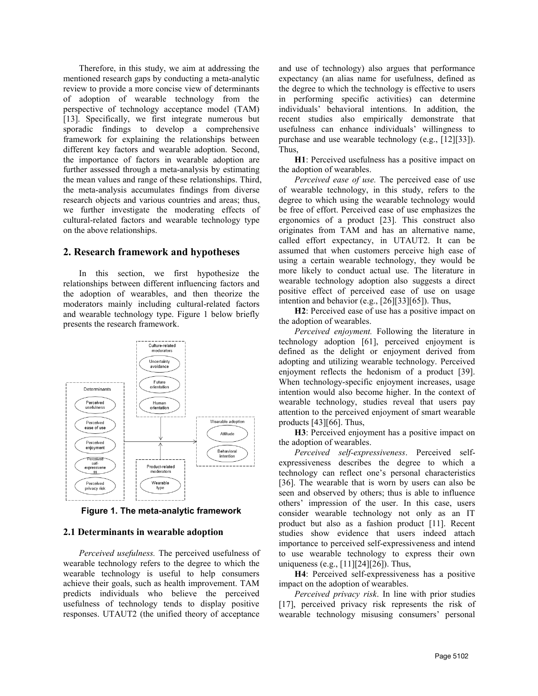Therefore, in this study, we aim at addressing the mentioned research gaps by conducting a meta-analytic review to provide a more concise view of determinants of adoption of wearable technology from the perspective of technology acceptance model (TAM) [13]. Specifically, we first integrate numerous but sporadic findings to develop a comprehensive framework for explaining the relationships between different key factors and wearable adoption. Second, the importance of factors in wearable adoption are further assessed through a meta-analysis by estimating the mean values and range of these relationships. Third, the meta-analysis accumulates findings from diverse research objects and various countries and areas; thus, we further investigate the moderating effects of cultural-related factors and wearable technology type on the above relationships.

### **2. Research framework and hypotheses**

In this section, we first hypothesize the relationships between different influencing factors and the adoption of wearables, and then theorize the moderators mainly including cultural-related factors and wearable technology type. Figure 1 below briefly presents the research framework.



**Figure 1. The meta-analytic framework**

#### **2.1 Determinants in wearable adoption**

*Perceived usefulness.*The perceived usefulness of wearable technology refers to the degree to which the wearable technology is useful to help consumers achieve their goals, such as health improvement. TAM predicts individuals who believe the perceived usefulness of technology tends to display positive responses. UTAUT2 (the unified theory of acceptance

and use of technology) also argues that performance expectancy (an alias name for usefulness, defined as the degree to which the technology is effective to users in performing specific activities) can determine individuals' behavioral intentions. In addition, the recent studies also empirically demonstrate that usefulness can enhance individuals' willingness to purchase and use wearable technology (e.g., [12][33]). Thus,

**H1**: Perceived usefulness has a positive impact on the adoption of wearables.

*Perceived ease of use.* The perceived ease of use of wearable technology, in this study, refers to the degree to which using the wearable technology would be free of effort. Perceived ease of use emphasizes the ergonomics of a product [23]. This construct also originates from TAM and has an alternative name, called effort expectancy, in UTAUT2. It can be assumed that when customers perceive high ease of using a certain wearable technology, they would be more likely to conduct actual use. The literature in wearable technology adoption also suggests a direct positive effect of perceived ease of use on usage intention and behavior (e.g., [26][33][65]). Thus,

**H2**: Perceived ease of use has a positive impact on the adoption of wearables.

*Perceived enjoyment.* Following the literature in technology adoption [61], perceived enjoyment is defined as the delight or enjoyment derived from adopting and utilizing wearable technology. Perceived enjoyment reflects the hedonism of a product [39]. When technology-specific enjoyment increases, usage intention would also become higher. In the context of wearable technology, studies reveal that users pay attention to the perceived enjoyment of smart wearable products [43][66]. Thus,

**H3**: Perceived enjoyment has a positive impact on the adoption of wearables.

*Perceived self-expressiveness*. Perceived self expressiveness describes the degree to which a technology can reflect one's personal characteristics [36]. The wearable that is worn by users can also be seen and observed by others; thus is able to influence others' impression of the user. In this case, users consider wearable technology not only as an IT product but also as a fashion product [11]. Recent studies show evidence that users indeed attach importance to perceived self-expressiveness and intend to use wearable technology to express their own uniqueness (e.g., [11][24][26]). Thus,

**H4**: Perceived self-expressiveness has a positive impact on the adoption of wearables.

*Perceived privacy risk*. In line with prior studies [17], perceived privacy risk represents the risk of wearable technology misusing consumers' personal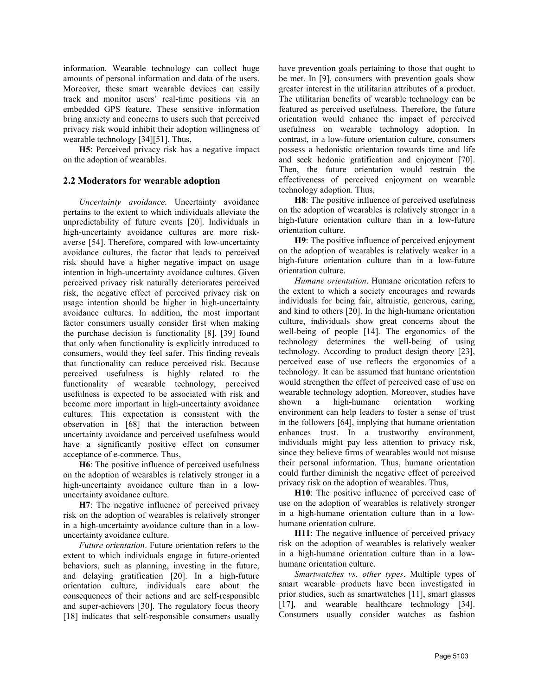information. Wearable technology can collect huge amounts of personal information and data of the users. Moreover, these smart wearable devices can easily track and monitor users' real-time positions via an embedded GPS feature. These sensitive information bring anxiety and concerns to users such that perceived privacy risk would inhibit their adoption willingness of wearable technology [34][51]. Thus,

**H5**: Perceived privacy risk has a negative impact on the adoption of wearables.

### **2.2 Moderators for wearable adoption**

*Uncertainty avoidance*. Uncertainty avoidance pertains to the extent to which individuals alleviate the unpredictability of future events [20]. Individuals in high-uncertainty avoidance cultures are more risk averse [54]. Therefore, compared with low-uncertainty avoidance cultures, the factor that leads to perceived risk should have a higher negative impact on usage intention in high-uncertainty avoidance cultures. Given perceived privacy risk naturally deteriorates perceived risk, the negative effect of perceived privacy risk on usage intention should be higher in high-uncertainty avoidance cultures. In addition, the most important factor consumers usually consider first when making the purchase decision is functionality [8]. [39] found that only when functionality is explicitly introduced to consumers, would they feel safer. This finding reveals that functionality can reduce perceived risk. Because perceived usefulness is highly related to the functionality of wearable technology, perceived usefulness is expected to be associated with risk and wearable technome more important in high-uncertainty avoidance shown a become more important in high-uncertainty avoidance cultures. This expectation is consistent with the observation in [68] that the interaction between uncertainty avoidance and perceived usefulness would have a significantly positive effect on consumer acceptance of e-commerce. Thus,

**H6**: The positive influence of perceived usefulness on the adoption of wearables is relatively stronger in a high-uncertainty avoidance culture than in a low uncertainty avoidance culture.

**H7**: The negative influence of perceived privacy risk on the adoption of wearables is relatively stronger in a high-uncertainty avoidance culture than in a low uncertainty avoidance culture.

*Future orientation*. Future orientation refers to the extent to which individuals engage in future-oriented behaviors, such as planning, investing in the future, and delaying gratification [20]. In a high-future orientation culture, individuals care about the consequences of their actions and are self-responsible and super-achievers [30]. The regulatory focus theory [18] indicates that self-responsible consumers usually have prevention goals pertaining to those that ought to be met. In [9], consumers with prevention goals show greater interest in the utilitarian attributes of a product. The utilitarian benefits of wearable technology can be featured as perceived usefulness. Therefore, the future orientation would enhance the impact of perceived usefulness on wearable technology adoption. In contrast, in a low-future orientation culture, consumers possess a hedonistic orientation towards time and life and seek hedonic gratification and enjoyment [70]. Then, the future orientation would restrain the effectiveness of perceived enjoyment on wearable technology adoption. Thus,

**H8**: The positive influence of perceived usefulness on the adoption of wearables is relatively stronger in a high-future orientation culture than in a low-future orientation culture.

**H9**: The positive influence of perceived enjoyment on the adoption of wearables is relatively weaker in a high-future orientation culture than in a low-future orientation culture.

*Humane orientation*. Humane orientation refers to the extent to which a society encourages and rewards individuals for being fair, altruistic, generous, caring, and kind to others [20]. In the high-humane orientation culture, individuals show great concerns about the well-being of people [14]. The ergonomics of the technology determines the well-being of using technology. According to product design theory [23], perceived ease of use reflects the ergonomics of a technology. It can be assumed that humane orientation would strengthen the effect of perceived ease of use on wearable technology adoption. Moreover, studies have high-humane orientation working environment can help leaders to foster a sense of trust in the followers [64], implying that humane orientation enhances trust. In a trustworthy environment, individuals might pay less attention to privacy risk, since they believe firms of wearables would not misuse their personal information. Thus, humane orientation could further diminish the negative effect of perceived privacy risk on the adoption of wearables. Thus,

**H10**: The positive influence of perceived ease of use on the adoption of wearables is relatively stronger in a high-humane orientation culture than in a low humane orientation culture.

**H11**: The negative influence of perceived privacy risk on the adoption of wearables is relatively weaker in a high-humane orientation culture than in a low humane orientation culture.

*Smartwatches vs. other types*. Multiple types of smart wearable products have been investigated in prior studies, such as smartwatches [11], smart glasses [17], and wearable healthcare technology [34]. Consumers usually consider watches as fashion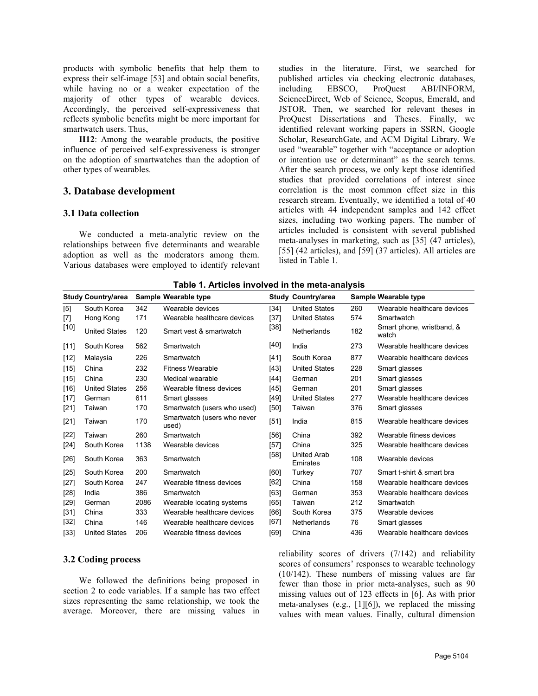products with symbolic benefits that help them to express their self-image [53] and obtain social benefits, while having no or a weaker expectation of the including EBSCO, majority of other types of wearable devices. Accordingly, the perceived self-expressiveness that reflects symbolic benefits might be more important for smartwatch users. Thus,

**H12**: Among the wearable products, the positive influence of perceived self-expressiveness is stronger on the adoption of smartwatches than the adoption of other types of wearables.

### **3. Database development**

#### **3.1 Data collection**

We conducted a meta-analytic review on the relationships between five determinants and wearable adoption as well as the moderators among them. Various databases were employed to identify relevant studies in the literature. First, we searched for published articles via checking electronic databases, ProQuest ABI/INFORM, ScienceDirect, Web of Science, Scopus, Emerald, and JSTOR. Then, we searched for relevant theses in ProQuest Dissertations and Theses. Finally, we identified relevant working papers in SSRN, Google Scholar, ResearchGate, and ACM Digital Library. We used "wearable" together with "acceptance or adoption or intention use or determinant" as the search terms. After the search process, we only kept those identified studies that provided correlations of interest since correlation is the most common effect size in this research stream. Eventually, we identified a total of 40 articles with 44 independent samples and 142 effect sizes, including two working papers. The number of articles included is consistent with several published meta-analyses in marketing, such as [35] (47 articles), [55] (42 articles), and [59] (37 articles). All articles are listed in Table 1.

|        | <b>Study Country/area</b> |      | Sample Wearable type                 |        | <b>Study Country/area</b>      |     | Sample Wearable type               |
|--------|---------------------------|------|--------------------------------------|--------|--------------------------------|-----|------------------------------------|
| $[5]$  | South Korea               | 342  | Wearable devices                     | $[34]$ | <b>United States</b>           | 260 | Wearable healthcare devices        |
| $[7]$  | Hong Kong                 | 171  | Wearable healthcare devices          | $[37]$ | <b>United States</b>           | 574 | Smartwatch                         |
| $[10]$ | <b>United States</b>      | 120  | Smart yest & smartwatch              | [38]   | <b>Netherlands</b>             | 182 | Smart phone, wristband, &<br>watch |
| [11]   | South Korea               | 562  | Smartwatch                           | [40]   | India                          | 273 | Wearable healthcare devices        |
| $[12]$ | Malaysia                  | 226  | Smartwatch                           | $[41]$ | South Korea                    | 877 | Wearable healthcare devices        |
| $[15]$ | China                     | 232  | <b>Fitness Wearable</b>              | $[43]$ | <b>United States</b>           | 228 | Smart glasses                      |
| $[15]$ | China                     | 230  | Medical wearable                     | [44]   | German                         | 201 | Smart glasses                      |
| $[16]$ | <b>United States</b>      | 256  | Wearable fitness devices             | [45]   | German                         | 201 | Smart glasses                      |
| $[17]$ | German                    | 611  | Smart glasses                        | [49]   | <b>United States</b>           | 277 | Wearable healthcare devices        |
| $[21]$ | Taiwan                    | 170  | Smartwatch (users who used)          | $[50]$ | Taiwan                         | 376 | Smart glasses                      |
| $[21]$ | Taiwan                    | 170  | Smartwatch (users who never<br>used) | $[51]$ | India                          | 815 | Wearable healthcare devices        |
| $[22]$ | Taiwan                    | 260  | Smartwatch                           | $[56]$ | China                          | 392 | Wearable fitness devices           |
| $[24]$ | South Korea               | 1138 | Wearable devices                     | $[57]$ | China                          | 325 | Wearable healthcare devices        |
| $[26]$ | South Korea               | 363  | Smartwatch                           | $[58]$ | <b>United Arab</b><br>Emirates | 108 | Wearable devices                   |
| $[25]$ | South Korea               | 200  | Smartwatch                           | [60]   | Turkey                         | 707 | Smart t-shirt & smart bra          |
| $[27]$ | South Korea               | 247  | Wearable fitness devices             | [62]   | China                          | 158 | Wearable healthcare devices        |
| $[28]$ | India                     | 386  | Smartwatch                           | $[63]$ | German                         | 353 | Wearable healthcare devices        |
| $[29]$ | German                    | 2086 | Wearable locating systems            | [65]   | Taiwan                         | 212 | Smartwatch                         |
| $[31]$ | China                     | 333  | Wearable healthcare devices          | [66]   | South Korea                    | 375 | Wearable devices                   |
| $[32]$ | China                     | 146  | Wearable healthcare devices          | $[67]$ | <b>Netherlands</b>             | 76  | Smart glasses                      |
| [33]   | <b>United States</b>      | 206  | Wearable fitness devices             | [69]   | China                          | 436 | Wearable healthcare devices        |

**Table 1. Articles involved in the meta-analysis**

### **3.2 Coding process**

We followed the definitions being proposed in section 2 to code variables. If a sample has two effect sizes representing the same relationship, we took the average. Moreover, there are missing values in

reliability scores of drivers (7/142) and reliability scores of consumers' responses to wearable technology (10/142). These numbers of missing values are far fewer than those in prior meta-analyses, such as 90 missing values out of 123 effects in [6]. As with prior meta-analyses (e.g., [1][6]), we replaced the missing values with mean values. Finally, cultural dimension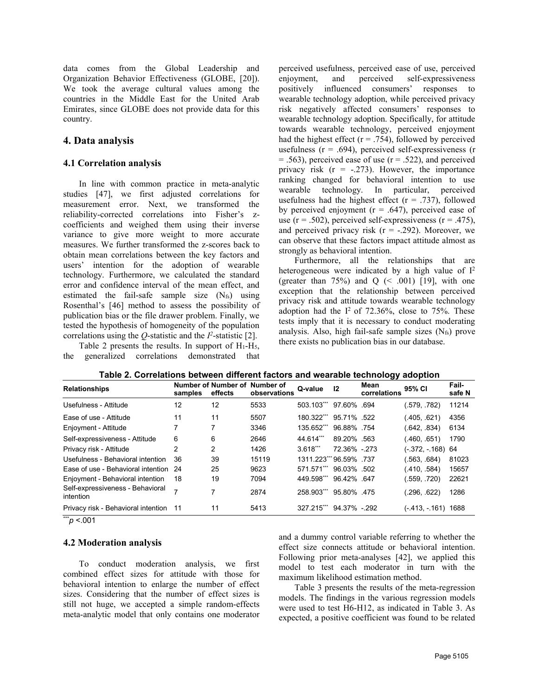data comes from the Global Leadership and Organization Behavior Effectiveness (GLOBE, [20]). We took the average cultural values among the countries in the Middle East for the United Arab Emirates, since GLOBE does not provide data for this country.

### **4. Data analysis**

### **4.1 Correlation analysis**

In line with common practice in meta-analytic studies [47], we first adjusted correlations for measurement error. Next, we transformed the reliability-corrected correlations into Fisher's z coefficients and weighed them using their inverse variance to give more weight to more accurate measures. We further transformed the z-scores back to obtain mean correlations between the key factors and users' intention for the adoption of wearable technology. Furthermore, we calculated the standard error and confidence interval of the mean effect, and estimated the fail-safe sample size  $(N_f s)$  using Rosenthal's [46] method to assess the possibility of publication bias or the file drawer problem. Finally, we tested the hypothesis of homogeneity of the population correlations using the Q-statistic and the  $I^2$ -statistic [2].  $\qquad \qquad \text{and} \qquad \qquad \text{and} \qquad \text{and} \qquad \text{and} \qquad \text{and} \qquad \text{and} \qquad \text{and} \qquad \text{and} \qquad \text{and} \qquad \text{and} \qquad \text{and} \qquad \text{and} \qquad \text{and} \qquad \text{and} \qquad \text{and} \qquad \text{and} \qquad \text{and} \qquad \text{and} \qquad \text{$ 

Table 2 presents the results. In support of  $H_1-H_5$ , the generalized correlations demonstrated that perceived usefulness, perceived ease of use, perceived and perceived self-expressiveness positively influenced consumers' responses to wearable technology adoption, while perceived privacy risk negatively affected consumers' responses to wearable technology adoption. Specifically, for attitude towards wearable technology, perceived enjoyment had the highest effect ( $r = .754$ ), followed by perceived usefulness ( $r = .694$ ), perceived self-expressiveness ( $r = .563$ ), perceived ease of use ( $r = .522$ ), and perceived privacy risk  $(r = -.273)$ . However, the importance ranking changed for behavioral intention to use wearable technology. In particular, perceived usefulness had the highest effect  $(r = .737)$ , followed by perceived enjoyment ( $r = .647$ ), perceived ease of use ( $r = .502$ ), perceived self-expressiveness ( $r = .475$ ), and perceived privacy risk  $(r = -.292)$ . Moreover, we can observe that these factors impact attitude almost as strongly as behavioral intention.

Furthermore, all the relationships that are heterogeneous were indicated by a high value of I 2 (greater than  $75\%$ ) and Q (< .001) [19], with one exception that the relationship between perceived privacy risk and attitude towards wearable technology adoption had the  $I^2$  of 72.36%, close to 75%. These tests imply that it is necessary to conduct moderating analysis. Also, high fail-safe sample sizes  $(N_f)$  prove there exists no publication bias in our database.

|                                               |         |         |                                               |                         |              | . .                  |                     |                 |
|-----------------------------------------------|---------|---------|-----------------------------------------------|-------------------------|--------------|----------------------|---------------------|-----------------|
| <b>Relationships</b>                          | samples | effects | Number of Number of Number of<br>observations | Q-value                 | 12           | Mean<br>correlations | 95% CI              | Fail-<br>safe N |
| Usefulness - Attitude                         | 12      | 12      | 5533                                          | 503.103*** 97.60% .694  |              |                      | (.579, .782)        | 11214           |
| Ease of use - Attitude                        | 11      | 11      | 5507                                          | 180.322*** 95.71% .522  |              |                      | (.405, .621)        | 4356            |
| Enjoyment - Attitude                          |         |         | 3346                                          | 135.652***              | 96.88%.754   |                      | (642, 834)          | 6134            |
| Self-expressiveness - Attitude                | 6       | 6       | 2646                                          | 44.614***               | 89.20% .563  |                      | (.460, .651)        | 1790            |
| Privacy risk - Attitude                       | 2       | 2       | 1426                                          | $3.618***$              | 72.36% - 273 |                      | $(-372, -168)$ 64   |                 |
| Usefulness - Behavioral intention             | -36     | 39      | 15119                                         | 1311.223*** 96.59% .737 |              |                      | (.563, .684)        | 81023           |
| Ease of use - Behavioral intention 24         |         | 25      | 9623                                          | 571.571*** 96.03% .502  |              |                      | (.410, .584)        | 15657           |
| Enjoyment - Behavioral intention              | - 18    | 19      | 7094                                          | 449.598*** 96.42% .647  |              |                      | (.559, .720)        | 22621           |
| Self-expressiveness - Behavioral<br>intention |         |         | 2874                                          | 258.903***              | 95.80% 475   |                      | (.296, .622)        | 1286            |
| Privacy risk - Behavioral intention 11        |         | 11      | 5413                                          | 327.215*** 94.37% -.292 |              |                      | (- 413, - 161) 1688 |                 |
|                                               |         |         |                                               |                         |              |                      |                     |                 |

**Table 2. Correlations between different factors and wearable technology adoption**

\*\*\**p* <.001

### **4.2 Moderation analysis**

To conduct moderation analysis, we first combined effect sizes for attitude with those for behavioral intention to enlarge the number of effect sizes. Considering that the number of effect sizes is still not huge, we accepted a simple random-effects meta-analytic model that only contains one moderator

and a dummy control variable referring to whether the effect size connects attitude or behavioral intention. Following prior meta-analyses [42], we applied this model to test each moderator in turn with the maximum likelihood estimation method.

Table 3 presents the results of the meta-regression models. The findings in the various regression models were used to test H6-H12, as indicated in Table 3. As expected, a positive coefficient was found to be related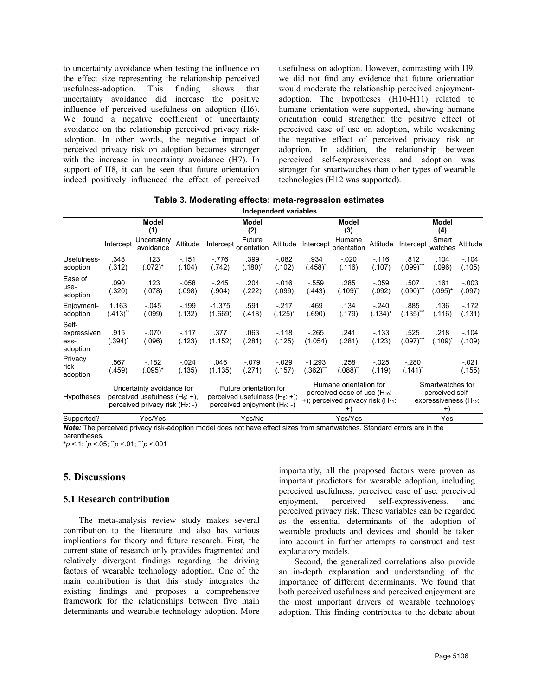to uncertainty avoidance when testing the influence on the effect size representing the relationship perceived usefulness-adoption. This finding shows that uncertainty avoidance did increase the positive influence of perceived usefulness on adoption (H6). We found a negative coefficient of uncertainty avoidance on the relationship perceived privacy risk adoption. In other words, the negative impact of perceived privacy risk on adoption becomes stronger with the increase in uncertainty avoidance (H7). In support of H8, it can be seen that future orientation indeed positively influenced the effect of perceived usefulness on adoption. However, contrasting with H9, we did not find any evidence that future orientation would moderate the relationship perceived enjoyment adoption. The hypotheses (H10-H11) related to humane orientation were supported, showing humane orientation could strengthen the positive effect of perceived ease of use on adoption, while weakening the negative effect of perceived privacy risk on adoption. In addition, the relationship between perceived self-expressiveness and adoption was stronger for smartwatches than other types of wearable technologies (H12 was supported).

|                                          |                                                                                                     |                                          |                    |                                                                                                                  |                                       | Independent variables  |                                                                                                                         |                                                       |                      |                                                                              |                                  |                   |
|------------------------------------------|-----------------------------------------------------------------------------------------------------|------------------------------------------|--------------------|------------------------------------------------------------------------------------------------------------------|---------------------------------------|------------------------|-------------------------------------------------------------------------------------------------------------------------|-------------------------------------------------------|----------------------|------------------------------------------------------------------------------|----------------------------------|-------------------|
|                                          | Intercept                                                                                           | Model<br>(1)<br>Uncertainty<br>avoidance | Attitude           | Intercept                                                                                                        | Model<br>(2)<br>Future<br>orientation | Attitude               | Intercept                                                                                                               | Model<br>(3)<br>Humane<br>orientation                 | Attitude             | Intercept                                                                    | Model<br>(4)<br>Smart<br>watches | Attitude          |
| Usefulness-<br>adoption                  | .348<br>(.312)                                                                                      | .123<br>$(.072)^{+}$                     | $-151$<br>(.104)   | $-776$<br>(.742)                                                                                                 | .399<br>$(.180)^*$                    | $-082$<br>(.102)       | .934<br>(.458)                                                                                                          | $-020$<br>(.116)                                      | $-116$<br>(.107)     | .812<br>$(0.099)^{***}$                                                      | .104<br>(.096)                   | $-104$<br>(.105)  |
| Ease of<br>use-<br>adoption              | .090<br>(.320)                                                                                      | .123<br>(.078)                           | $-0.058$<br>(.098) | $-245$<br>(.904)                                                                                                 | .204<br>(.222)                        | $-0.016$<br>(.099)     | $-559$<br>(.443)                                                                                                        | .285<br>$(.109)^{**}$                                 | $-0.59$<br>(.092)    | .507<br>$(090)^{**}$                                                         | .161<br>$(.095)^+$               | $-.003$<br>(.097) |
| Enjoyment-<br>adoption                   | 1.163<br>$(.413)$ $\ddot{}$                                                                         | $-0.045$<br>(.099)                       | $-199$<br>(.132)   | $-1.375$<br>(1.669)                                                                                              | .591<br>(.418)                        | $-217$<br>$(.125)^{+}$ | .469<br>(.690)                                                                                                          | .134<br>(.179)                                        | $-240$<br>$(.134)^+$ | .885<br>$(.135)^{***}$                                                       | .136<br>(.116)                   | $-172$<br>(.131)  |
| Self-<br>expressiven<br>ess-<br>adoption | .915<br>$(.394)^*$                                                                                  | $-070$<br>(.096)                         | $-117$<br>(.123)   | .377<br>(1.152)                                                                                                  | .063<br>(.281)                        | $-118$<br>(.125)       | $-265$<br>(1.054)                                                                                                       | .241<br>(.281)                                        | $-133$<br>(.123)     | 525<br>$(.097)$ $\ddots$                                                     | .218<br>(.109)                   | $-104$<br>(.109)  |
| Privacy<br>risk-<br>adoption             | .567<br>(.459)                                                                                      | $-182$<br>$(.095)^+$                     | $-024$<br>(.135)   | .046<br>(1.135)                                                                                                  | $-079$<br>(.271)                      | $-0.029$<br>(.157)     | $-1.293$<br>$(.362)$ **                                                                                                 | .258<br>$^{\prime}.088)$ $\phantom{a}^{\prime\prime}$ | $-0.025$<br>(.119)   | $-280$<br>$(.141)^*$                                                         |                                  | $-021$<br>(.155)  |
| Hypotheses                               | Uncertainty avoidance for<br>perceived usefulness $(H_6: +)$ ,<br>perceived privacy risk $(H_7: -)$ |                                          |                    | Future orientation for<br>perceived usefulness (H <sub>8</sub> : +);<br>perceived enjoyment (H <sub>9</sub> : -) |                                       |                        | Humane orientation for<br>perceived ease of use (H <sub>10</sub> :<br>+); perceived privacy risk $(H_{11})$ :<br>$^{+}$ |                                                       |                      | Smartwatches for<br>perceived self-<br>expressiveness $(H_{12})$ :<br>$^{+}$ |                                  |                   |

**Table 3. Moderating effects: meta-regression estimates**

Supported? Yes/Yes Yes/No Yes/Yes Yes *Note:* The perceived privacy risk-adoption model does not have effect sizes from smartwatches. Standard errors are in the parentheses.

<sup>+</sup>*p* <.1; \**p* <.05; \*\**p* <.01; \*\*\**p* <.001

### **5. Discussions**

### **5.1 Research contribution**

The meta-analysis review study makes several contribution to the literature and also has various implications for theory and future research. First, the current state of research only provides fragmented and relatively divergent findings regarding the driving factors of wearable technology adoption. One of the main contribution is that this study integrates the existing findings and proposes a comprehensive framework for the relationships between five main determinants and wearable technology adoption. More

importantly, all the proposed factors were proven as important predictors for wearable adoption, including perceived usefulness, perceived ease of use, perceived enjoyment, perceived self-expressiveness, and perceived privacy risk. These variables can be regarded as the essential determinants of the adoption of wearable products and devices and should be taken into account in further attempts to construct and test explanatory models.

Second, the generalized correlations also provide an in-depth explanation and understanding of the importance of different determinants. We found that both perceived usefulness and perceived enjoyment are the most important drivers of wearable technology adoption. This finding contributes to the debate about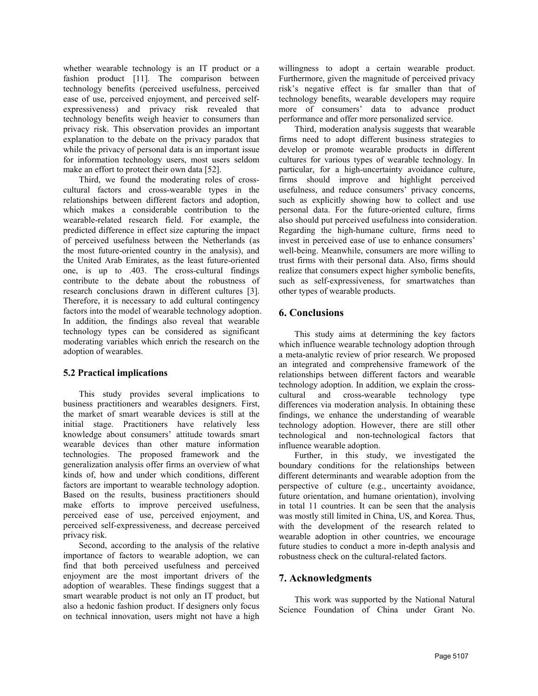whether wearable technology is an IT product or a fashion product [11]. The comparison between technology benefits (perceived usefulness, perceived ease of use, perceived enjoyment, and perceived self expressiveness) and privacy risk revealed that technology benefits weigh heavier to consumers than privacy risk. This observation provides an important explanation to the debate on the privacy paradox that while the privacy of personal data is an important issue for information technology users, most users seldom make an effort to protect their own data [52].

Third, we found the moderating roles of cross cultural factors and cross-wearable types in the relationships between different factors and adoption, which makes a considerable contribution to the wearable-related research field. For example, the predicted difference in effect size capturing the impact of perceived usefulness between the Netherlands (as the most future-oriented country in the analysis), and the United Arab Emirates, as the least future-oriented trust firms with their personal data. Also, firms should one, is up to .403. The cross-cultural findings realize that consumers expect higher symbolic benefits, one, is up to .403. The cross-cultural findings contribute to the debate about the robustness of research conclusions drawn in different cultures [3]. Therefore, it is necessary to add cultural contingency factors into the model of wearable technology adoption. In addition, the findings also reveal that wearable technology types can be considered as significant moderating variables which enrich the research on the adoption of wearables.

### **5.2 Practical implications**

This study provides several implications to business practitioners and wearables designers. First, the market of smart wearable devices is still at the initial stage. Practitioners have relatively less knowledge about consumers' attitude towards smart wearable devices than other mature information technologies. The proposed framework and the generalization analysis offer firms an overview of what kinds of, how and under which conditions, different factors are important to wearable technology adoption. Based on the results, business practitioners should make efforts to improve perceived usefulness, perceived ease of use, perceived enjoyment, and perceived self-expressiveness, and decrease perceived privacy risk.

Second, according to the analysis of the relative importance of factors to wearable adoption, we can find that both perceived usefulness and perceived enjoyment are the most important drivers of the adoption of wearables. These findings suggest that a smart wearable product is not only an IT product, but also a hedonic fashion product. If designers only focus on technical innovation, users might not have a high

willingness to adopt a certain wearable product. Furthermore, given the magnitude of perceived privacy risk's negative effect is far smaller than that of technology benefits, wearable developers may require more of consumers' data to advance product performance and offer more personalized service.

Third, moderation analysis suggests that wearable firms need to adopt different business strategies to develop or promote wearable products in different cultures for various types of wearable technology. In particular, for <sup>a</sup> high-uncertainty avoidance culture,firms should improve and highlight perceived usefulness, and reduce consumers' privacy concerns, such as explicitly showing how to collect and use personal data. For the future-oriented culture, firms also should put perceived usefulness into consideration. Regarding the high-humane culture, firms need to invest in perceived ease of use to enhance consumers' well-being. Meanwhile, consumers are more willing to trust firms with their personal data. Also, firms should such as self-expressiveness, for smartwatches than other types of wearable products.

## **6. Conclusions**

This study aims at determining the key factors which influence wearable technology adoption through a meta-analytic review of prior research. We proposed an integrated and comprehensive framework of the relationships between different factors and wearable technology adoption. In addition, we explain the cross cultural and cross-wearable technology type differences via moderation analysis. In obtaining these findings, we enhance the understanding of wearable technology adoption. However, there are still other technological and non-technological factors that influence wearable adoption.

Further, in this study, we investigated the boundary conditions for the relationships between different determinants and wearable adoption from the perspective of culture (e.g., uncertainty avoidance, future orientation, and humane orientation), involving in total 11 countries. It can be seen that the analysis was mostly still limited in China, US, and Korea. Thus, with the development of the research related to wearable adoption in other countries, we encourage future studies to conduct a more in-depth analysis and robustness check on the cultural-related factors.

# **7. Acknowledgments**

This work was supported by the National Natural Science Foundation of China under Grant No.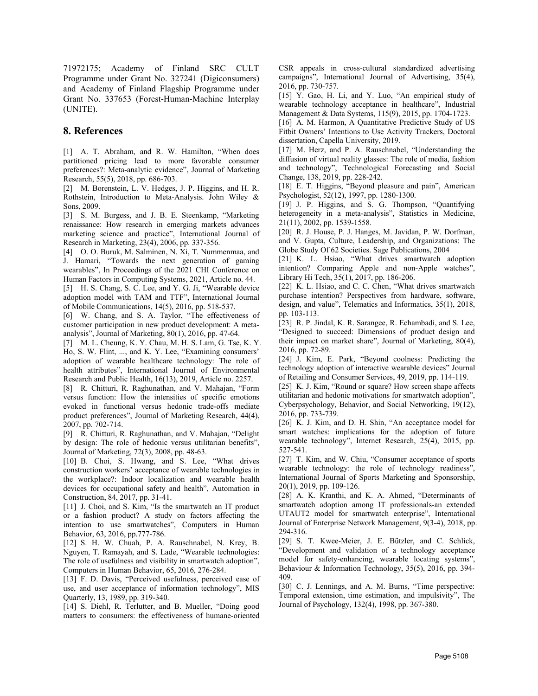71972175; Academy of Finland SRC CULT Programme under Grant No. 327241 (Digiconsumers) and Academy of Finland Flagship Programme under Grant No. 337653 (Forest-Human-Machine Interplay (UNITE).

### **8. References**

[1] A. T. Abraham, and R. W. Hamilton, "When does partitioned pricing lead to more favorable consumer preferences?: Meta-analytic evidence", Journal of Marketing Research, 55(5), 2018, pp. 686-703.

[2] M. Borenstein, L. V. Hedges, J. P. Higgins, and H. R. Rothstein, Introduction to Meta-Analysis. John Wiley & Sons, 2009.

[3] S. M. Burgess, and J. B. E. Steenkamp, "Marketing renaissance: How research in emerging markets advances marketing science and practice", International Journal of Research in Marketing, 23(4), 2006, pp. 337-356.

[4] O. O. Buruk, M. Salminen, N. Xi, T. Nummenmaa, and J. Hamari, "Towards the next generation of gaming wearables", In Proceedings of the 2021 CHI Conference on Human Factors in Computing Systems, 2021, Article no. 44.

[5] H. S. Chang, S. C. Lee, and Y. G. Ji, "Wearable device adoption model with TAM and TTF", International Journal of Mobile Communications, 14(5), 2016, pp. 518-537.

[6] W. Chang, and S. A. Taylor, "The effectiveness of customer participation in new product development: A meta analysis", Journal of Marketing, 80(1), 2016, pp. 47-64.

[7] M. L. Cheung, K. Y. Chau, M. H. S. Lam, G. Tse, K. Y. Ho, S. W. Flint, ..., and K. Y. Lee,"Examining consumers' adoption of wearable healthcare technology: The role of health attributes", International Journal of Environmental Research and Public Health, 16(13), 2019, Article no. 2257.

[8] R. Chitturi, R. Raghunathan, and V. Mahajan, "Form versus function: How the intensities of specific emotions evoked in functional versus hedonic trade-offs mediate product preferences", Journal of Marketing Research, 44(4), 2007, pp. 702-714.

[9] R. Chitturi, R. Raghunathan, and V. Mahajan, "Delight by design: The role of hedonic versus utilitarian benefits", Journal of Marketing, 72(3), 2008, pp. 48-63.

[10] B. Choi, S. Hwang, and S. Lee, "What drives construction workers' acceptance of wearable technologies in the workplace?: Indoor localization and wearable health devices for occupational safety and health", Automation in Construction, 84, 2017, pp. 31-41.

[11] J. Choi, and S. Kim, "Is the smartwatch an IT product or a fashion product? A study on factors affecting the intention to use smartwatches", Computers in Human Behavior, 63, 2016, pp.777-786.

[12] S. H. W. Chuah, P. A. Rauschnabel, N. Krey, B. Nguyen, T. Ramayah, and S. Lade, "Wearable technologies: The role of usefulness and visibility in smartwatch adoption", Computers in Human Behavior, 65, 2016, 276-284.

[13] F. D. Davis, "Perceived usefulness, perceived ease of use, and user acceptance of information technology", MIS Quarterly, 13, 1989, pp. 319-340.

[14] S. Diehl, R. Terlutter, and B. Mueller, "Doing good matters to consumers: the effectiveness of humane-oriented CSR appeals in cross-cultural standardized advertising campaigns", International Journal of Advertising, 35(4), 2016, pp. 730-757.

[15] Y. Gao, H. Li, and Y. Luo, "An empirical study of wearable technology acceptance in healthcare", Industrial Management & Data Systems, 115(9), 2015, pp. 1704-1723.

[16] A. M. Harmon, A Quantitative Predictive Study of US Fitbit Owners' Intentions to Use Activity Trackers, Doctoral dissertation, Capella University, 2019.

[17] M. Herz, and P. A. Rauschnabel, "Understanding the diffusion of virtual reality glasses: The role of media, fashion and technology", Technological Forecasting and Social Change, 138, 2019, pp. 228-242.

[18] E. T. Higgins, "Beyond pleasure and pain", American Psychologist, 52(12), 1997, pp. 1280-1300.

[19] J. P. Higgins, and S. G. Thompson, "Quantifying heterogeneity in a meta-analysis", Statistics in Medicine, 21(11), 2002, pp. 1539-1558.

[20] R. J. House, P. J. Hanges, M. Javidan, P. W. Dorfman, and V. Gupta, Culture, Leadership, and Organizations: The Globe Study Of 62 Societies. Sage Publications, 2004

[21] K. L. Hsiao, "What drives smartwatch adoption intention? Comparing Apple and non-Apple watches", Library Hi Tech, 35(1), 2017, pp. 186-206.

[22] K. L. Hsiao, and C. C. Chen, "What drives smartwatch purchase intention? Perspectives from hardware, software, design, and value", Telematics and Informatics, 35(1), 2018, pp. 103-113.

[23] R. P. Jindal, K. R. Sarangee, R. Echambadi, and S. Lee, "Designed to succeed: Dimensions of product design and their impact on market share", Journal of Marketing, 80(4), 2016, pp. 72-89.

[24] J. Kim, E. Park, "Beyond coolness: Predicting the technology adoption of interactive wearable devices" Journal of Retailing and Consumer Services, 49, 2019, pp. 114-119.

[25] K. J. Kim, "Round or square? How screen shape affects utilitarian and hedonic motivations for smartwatch adoption", Cyberpsychology, Behavior, and Social Networking, 19(12), 2016, pp. 733-739.

[26] K. J. Kim, and D. H. Shin, "An acceptance model for smart watches: implications for the adoption of future wearable technology", Internet Research, 25(4), 2015, pp. 527-541.

[27] T. Kim, and W. Chiu, "Consumer acceptance of sports wearable technology: the role of technology readiness", International Journal of Sports Marketing and Sponsorship, 20(1), 2019, pp. 109-126.

[28] A. K. Kranthi, and K. A. Ahmed, "Determinants of smartwatch adoption among IT professionals-an extended UTAUT2 model for smartwatch enterprise", International Journal of Enterprise Network Management, 9(3-4), 2018, pp. 294-316.

[29] S. T. Kwee-Meier, J. E. Bützler, and C. Schlick, "Development and validation of a technology acceptance model for safety-enhancing, wearable locating systems", Behaviour & Information Technology, 35(5), 2016, pp. 394- 409.

[30] C. J. Lennings, and A. M. Burns, "Time perspective: Temporal extension, time estimation, and impulsivity", The Journal of Psychology, 132(4), 1998, pp. 367-380.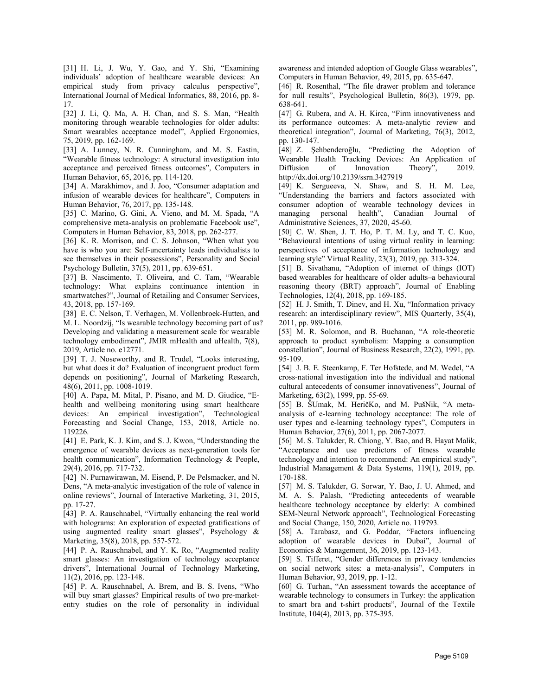[31] H. Li, J. Wu, Y. Gao, and Y. Shi, "Examining individuals' adoption of healthcare wearable devices: An empirical study from privacy calculus perspective", International Journal of Medical Informatics, 88, 2016, pp. 8- 17.

[32] J. Li, Q. Ma, A. H. Chan, and S. S. Man, "Health monitoring through wearable technologies for older adults: Smart wearables acceptance model", Applied Ergonomics, 75, 2019, pp. 162-169.

[33] A. Lunney, N. R. Cunningham, and M. S. Eastin, "Wearable fitness technology: A structural investigation into acceptance and perceived fitness outcomes", Computers in Human Behavior, 65, 2016, pp. 114-120.

[34] A. Marakhimov, and J. Joo, "Consumer adaptation and infusion of wearable devices for healthcare", Computers in Human Behavior, 76, 2017, pp. 135-148.

[35] C. Marino, G. Gini, A. Vieno, and M. M. Spada, "A comprehensive meta-analysis on problematic Facebook use", Computers in Human Behavior, 83, 2018, pp. 262-277.

[36] K. R. Morrison, and C. S. Johnson, "When what you have is who you are: Self-uncertainty leads individualists to see themselves in their possessions", Personality and Social Psychology Bulletin, 37(5), 2011, pp. 639-651.

[37] B. Nascimento, T. Oliveira, and C. Tam, "Wearable technology: What explains continuance intention in smartwatches?", Journal of Retailing and Consumer Services, 43, 2018, pp. 157-169.

[38] E. C. Nelson, T. Verhagen, M. Vollenbroek-Hutten, and M. L. Noordzij, "Is wearable technology becoming part of us? Developing and validating a measurement scale for wearable technology embodiment", JMIR mHealth and uHealth, 7(8), 2019, Article no. e12771.

[39] T. J. Noseworthy, and R. Trudel, "Looks interesting, but what does it do? Evaluation of incongruent product form depends on positioning", Journal of Marketing Research, 48(6), 2011, pp. 1008-1019.

[40] A. Papa, M. Mital, P. Pisano, and M. D. Giudice, "E health and wellbeing monitoring using smart healthcare devices: An empirical investigation", Technological Forecasting and Social Change, 153, 2018, Article no. 119226.

[41] E. Park, K. J. Kim, and S. J. Kwon, "Understanding the emergence of wearable devices as next-generation tools for health communication", Information Technology & People, 29(4), 2016, pp. 717-732.

[42] N. Purnawirawan, M. Eisend, P. De Pelsmacker, and N. Dens, "A meta-analytic investigation of the role of valence in online reviews", Journal of Interactive Marketing, 31, 2015, pp. 17-27.

[43] P. A. Rauschnabel, "Virtually enhancing the real world with holograms: An exploration of expected gratifications of using augmented reality smart glasses", Psychology  $\&$ Marketing, 35(8), 2018, pp. 557-572.

[44] P. A. Rauschnabel, and Y. K. Ro, "Augmented reality smart glasses: An investigation of technology acceptance drivers", International Journal of Technology Marketing, 11(2), 2016, pp. 123-148.

[45] P. A. Rauschnabel, A. Brem, and B. S. Ivens, "Who will buy smart glasses? Empirical results of two pre-market entry studies on the role of personality in individual awareness and intended adoption of Google Glass wearables", Computers in Human Behavior, 49, 2015, pp. 635-647.

[46] R. Rosenthal, "The file drawer problem and tolerance for null results", Psychological Bulletin, 86(3), 1979, pp. 638-641.

[47] G. Rubera, and A. H. Kirca, "Firm innovativeness and its performance outcomes: A meta-analytic review and theoretical integration", Journal of Marketing, 76(3), 2012, pp. 130-147.

[48] Z. Şehbenderoğlu, "Predicting the Adoption of Wearable Health Tracking Devices: An Application of Innovation Theory", 2019. http://dx.doi.org/10.2139/ssrn.3427919

[49] K. Sergueeva, N. Shaw, and S. H. M. Lee, "Understanding the barriers and factors associated with consumer adoption of wearable technology devices in managing personal health", Canadian Journal of Administrative Sciences, 37, 2020, 45-60.

[50] C. W. Shen, J. T. Ho, P. T. M. Ly, and T. C. Kuo, "Behavioural intentions of using virtual reality in learning: perspectives of acceptance of information technology and learning style" Virtual Reality, 23(3), 2019, pp. 313-324.

[51] B. Sivathanu, "Adoption of internet of things (IOT) based wearables for healthcare of older adults–a behavioural reasoning theory (BRT) approach", Journal of Enabling Technologies, 12(4), 2018, pp. 169-185.

[52] H.J. Smith, T. Dinev, and H. Xu, "Information privacy research: an interdisciplinary review", MIS Quarterly, 35(4), 2011, pp. 989-1016.

[53] M. R. Solomon, and B. Buchanan, "A role-theoretic approach to product symbolism: Mapping a consumption constellation", Journal of Business Research, 22(2), 1991, pp. 95-109.

[54] J. B. E. Steenkamp, F. Ter Hofstede, and M. Wedel, "A cross-national investigation into the individual and national cultural antecedents of consumer innovativeness", Journal of Marketing, 63(2), 1999, pp. 55-69.

[55] B. ŠUmak, M. HeričKo, and M. PušNik, "A meta analysis of e-learning technology acceptance: The role of user types and e-learning technology types", Computers in Human Behavior, 27(6), 2011, pp. 2067-2077.

[56] M. S. Talukder, R. Chiong, Y. Bao, and B. Hayat Malik, "Acceptance and use predictors of fitness wearable technology and intention to recommend: An empirical study", Industrial Management & Data Systems, 119(1), 2019, pp. 170-188.

[57] M. S. Talukder, G. Sorwar, Y. Bao, J. U. Ahmed, and M. A. S. Palash, "Predicting antecedents of wearable healthcare technology acceptance by elderly: A combined SEM-Neural Network approach", Technological Forecasting and Social Change, 150, 2020, Article no. 119793.

[58] A. Tarabasz, and G. Poddar, "Factors influencing adoption of wearable devices in Dubai", Journal of Economics & Management, 36, 2019, pp. 123-143.

[59] S. Tifferet, "Gender differences in privacy tendencies on social network sites: a meta-analysis", Computers in Human Behavior, 93, 2019, pp. 1-12.

[60] G. Turhan, "An assessment towards the acceptance of wearable technology to consumers in Turkey: the application to smart bra and t-shirt products", Journal of the Textile Institute, 104(4), 2013, pp. 375-395.